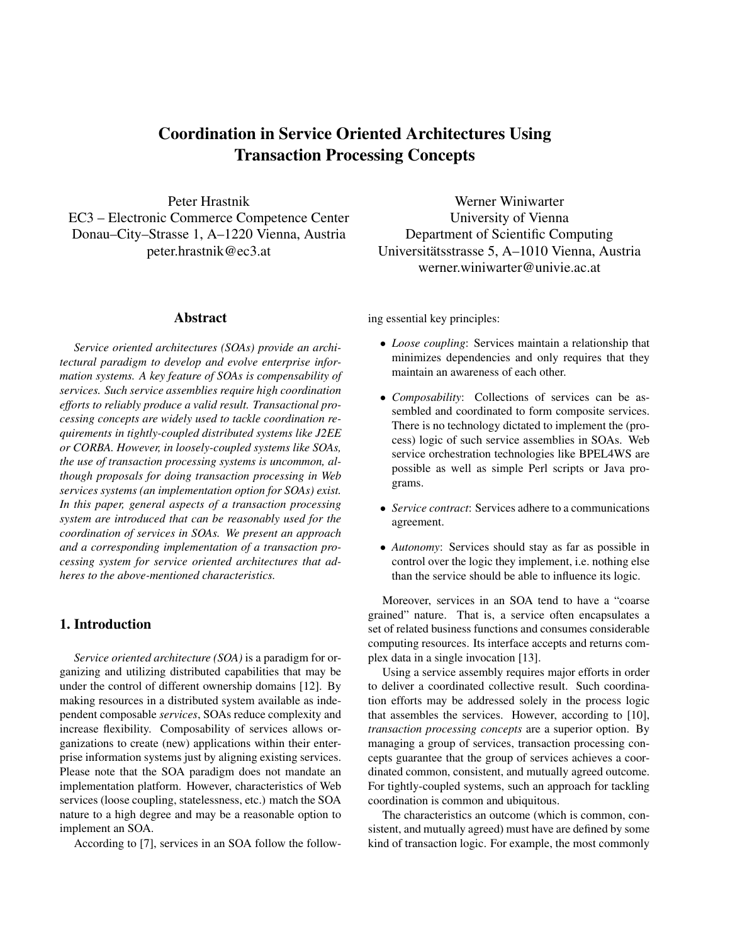# Coordination in Service Oriented Architectures Using Transaction Processing Concepts

Peter Hrastnik EC3 – Electronic Commerce Competence Center Donau–City–Strasse 1, A–1220 Vienna, Austria peter.hrastnik@ec3.at

#### Abstract

*Service oriented architectures (SOAs) provide an architectural paradigm to develop and evolve enterprise information systems. A key feature of SOAs is compensability of services. Such service assemblies require high coordination efforts to reliably produce a valid result. Transactional processing concepts are widely used to tackle coordination requirements in tightly-coupled distributed systems like J2EE or CORBA. However, in loosely-coupled systems like SOAs, the use of transaction processing systems is uncommon, although proposals for doing transaction processing in Web services systems (an implementation option for SOAs) exist. In this paper, general aspects of a transaction processing system are introduced that can be reasonably used for the coordination of services in SOAs. We present an approach and a corresponding implementation of a transaction processing system for service oriented architectures that adheres to the above-mentioned characteristics.*

# 1. Introduction

*Service oriented architecture (SOA)* is a paradigm for organizing and utilizing distributed capabilities that may be under the control of different ownership domains [12]. By making resources in a distributed system available as independent composable *services*, SOAs reduce complexity and increase flexibility. Composability of services allows organizations to create (new) applications within their enterprise information systems just by aligning existing services. Please note that the SOA paradigm does not mandate an implementation platform. However, characteristics of Web services (loose coupling, statelessness, etc.) match the SOA nature to a high degree and may be a reasonable option to implement an SOA.

According to [7], services in an SOA follow the follow-

Werner Winiwarter University of Vienna Department of Scientific Computing Universitatsstrasse 5, A–1010 Vienna, Austria ¨ werner.winiwarter@univie.ac.at

ing essential key principles:

- *Loose coupling*: Services maintain a relationship that minimizes dependencies and only requires that they maintain an awareness of each other.
- *Composability*: Collections of services can be assembled and coordinated to form composite services. There is no technology dictated to implement the (process) logic of such service assemblies in SOAs. Web service orchestration technologies like BPEL4WS are possible as well as simple Perl scripts or Java programs.
- *Service contract*: Services adhere to a communications agreement.
- *Autonomy*: Services should stay as far as possible in control over the logic they implement, i.e. nothing else than the service should be able to influence its logic.

Moreover, services in an SOA tend to have a "coarse grained" nature. That is, a service often encapsulates a set of related business functions and consumes considerable computing resources. Its interface accepts and returns complex data in a single invocation [13].

Using a service assembly requires major efforts in order to deliver a coordinated collective result. Such coordination efforts may be addressed solely in the process logic that assembles the services. However, according to [10], *transaction processing concepts* are a superior option. By managing a group of services, transaction processing concepts guarantee that the group of services achieves a coordinated common, consistent, and mutually agreed outcome. For tightly-coupled systems, such an approach for tackling coordination is common and ubiquitous.

The characteristics an outcome (which is common, consistent, and mutually agreed) must have are defined by some kind of transaction logic. For example, the most commonly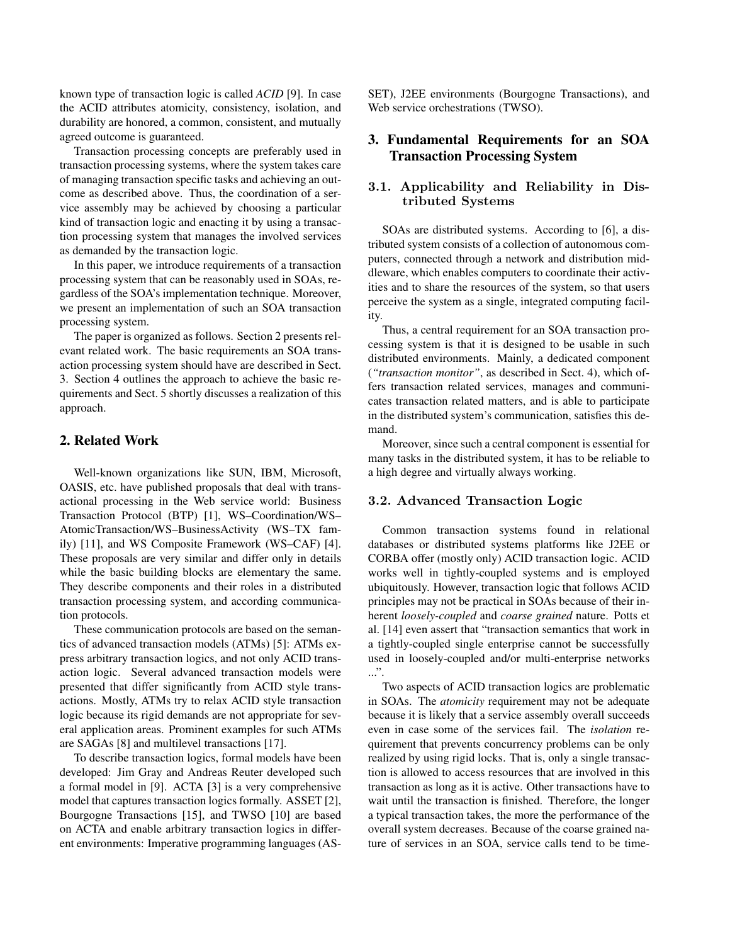known type of transaction logic is called *ACID* [9]. In case the ACID attributes atomicity, consistency, isolation, and durability are honored, a common, consistent, and mutually agreed outcome is guaranteed.

Transaction processing concepts are preferably used in transaction processing systems, where the system takes care of managing transaction specific tasks and achieving an outcome as described above. Thus, the coordination of a service assembly may be achieved by choosing a particular kind of transaction logic and enacting it by using a transaction processing system that manages the involved services as demanded by the transaction logic.

In this paper, we introduce requirements of a transaction processing system that can be reasonably used in SOAs, regardless of the SOA's implementation technique. Moreover, we present an implementation of such an SOA transaction processing system.

The paper is organized as follows. Section 2 presents relevant related work. The basic requirements an SOA transaction processing system should have are described in Sect. 3. Section 4 outlines the approach to achieve the basic requirements and Sect. 5 shortly discusses a realization of this approach.

# 2. Related Work

Well-known organizations like SUN, IBM, Microsoft, OASIS, etc. have published proposals that deal with transactional processing in the Web service world: Business Transaction Protocol (BTP) [1], WS–Coordination/WS– AtomicTransaction/WS–BusinessActivity (WS–TX family) [11], and WS Composite Framework (WS–CAF) [4]. These proposals are very similar and differ only in details while the basic building blocks are elementary the same. They describe components and their roles in a distributed transaction processing system, and according communication protocols.

These communication protocols are based on the semantics of advanced transaction models (ATMs) [5]: ATMs express arbitrary transaction logics, and not only ACID transaction logic. Several advanced transaction models were presented that differ significantly from ACID style transactions. Mostly, ATMs try to relax ACID style transaction logic because its rigid demands are not appropriate for several application areas. Prominent examples for such ATMs are SAGAs [8] and multilevel transactions [17].

To describe transaction logics, formal models have been developed: Jim Gray and Andreas Reuter developed such a formal model in [9]. ACTA [3] is a very comprehensive model that captures transaction logics formally. ASSET [2], Bourgogne Transactions [15], and TWSO [10] are based on ACTA and enable arbitrary transaction logics in different environments: Imperative programming languages (AS-

SET), J2EE environments (Bourgogne Transactions), and Web service orchestrations (TWSO).

# 3. Fundamental Requirements for an SOA Transaction Processing System

## 3.1. Applicability and Reliability in Distributed Systems

SOAs are distributed systems. According to [6], a distributed system consists of a collection of autonomous computers, connected through a network and distribution middleware, which enables computers to coordinate their activities and to share the resources of the system, so that users perceive the system as a single, integrated computing facility.

Thus, a central requirement for an SOA transaction processing system is that it is designed to be usable in such distributed environments. Mainly, a dedicated component (*"transaction monitor"*, as described in Sect. 4), which offers transaction related services, manages and communicates transaction related matters, and is able to participate in the distributed system's communication, satisfies this demand.

Moreover, since such a central component is essential for many tasks in the distributed system, it has to be reliable to a high degree and virtually always working.

#### 3.2. Advanced Transaction Logic

Common transaction systems found in relational databases or distributed systems platforms like J2EE or CORBA offer (mostly only) ACID transaction logic. ACID works well in tightly-coupled systems and is employed ubiquitously. However, transaction logic that follows ACID principles may not be practical in SOAs because of their inherent *loosely-coupled* and *coarse grained* nature. Potts et al. [14] even assert that "transaction semantics that work in a tightly-coupled single enterprise cannot be successfully used in loosely-coupled and/or multi-enterprise networks ...".

Two aspects of ACID transaction logics are problematic in SOAs. The *atomicity* requirement may not be adequate because it is likely that a service assembly overall succeeds even in case some of the services fail. The *isolation* requirement that prevents concurrency problems can be only realized by using rigid locks. That is, only a single transaction is allowed to access resources that are involved in this transaction as long as it is active. Other transactions have to wait until the transaction is finished. Therefore, the longer a typical transaction takes, the more the performance of the overall system decreases. Because of the coarse grained nature of services in an SOA, service calls tend to be time-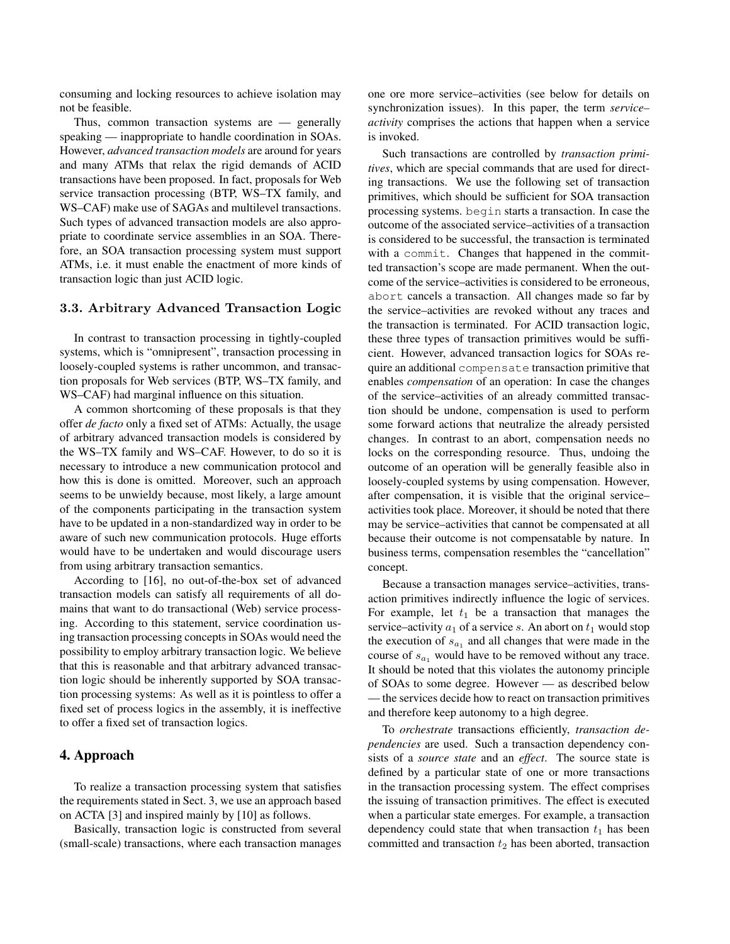consuming and locking resources to achieve isolation may not be feasible.

Thus, common transaction systems are  $-$  generally speaking — inappropriate to handle coordination in SOAs. However, *advanced transaction models* are around for years and many ATMs that relax the rigid demands of ACID transactions have been proposed. In fact, proposals for Web service transaction processing (BTP, WS–TX family, and WS–CAF) make use of SAGAs and multilevel transactions. Such types of advanced transaction models are also appropriate to coordinate service assemblies in an SOA. Therefore, an SOA transaction processing system must support ATMs, i.e. it must enable the enactment of more kinds of transaction logic than just ACID logic.

## 3.3. Arbitrary Advanced Transaction Logic

In contrast to transaction processing in tightly-coupled systems, which is "omnipresent", transaction processing in loosely-coupled systems is rather uncommon, and transaction proposals for Web services (BTP, WS–TX family, and WS–CAF) had marginal influence on this situation.

A common shortcoming of these proposals is that they offer *de facto* only a fixed set of ATMs: Actually, the usage of arbitrary advanced transaction models is considered by the WS–TX family and WS–CAF. However, to do so it is necessary to introduce a new communication protocol and how this is done is omitted. Moreover, such an approach seems to be unwieldy because, most likely, a large amount of the components participating in the transaction system have to be updated in a non-standardized way in order to be aware of such new communication protocols. Huge efforts would have to be undertaken and would discourage users from using arbitrary transaction semantics.

According to [16], no out-of-the-box set of advanced transaction models can satisfy all requirements of all domains that want to do transactional (Web) service processing. According to this statement, service coordination using transaction processing concepts in SOAs would need the possibility to employ arbitrary transaction logic. We believe that this is reasonable and that arbitrary advanced transaction logic should be inherently supported by SOA transaction processing systems: As well as it is pointless to offer a fixed set of process logics in the assembly, it is ineffective to offer a fixed set of transaction logics.

## 4. Approach

To realize a transaction processing system that satisfies the requirements stated in Sect. 3, we use an approach based on ACTA [3] and inspired mainly by [10] as follows.

Basically, transaction logic is constructed from several (small-scale) transactions, where each transaction manages one ore more service–activities (see below for details on synchronization issues). In this paper, the term *service– activity* comprises the actions that happen when a service is invoked.

Such transactions are controlled by *transaction primitives*, which are special commands that are used for directing transactions. We use the following set of transaction primitives, which should be sufficient for SOA transaction processing systems. begin starts a transaction. In case the outcome of the associated service–activities of a transaction is considered to be successful, the transaction is terminated with a commit. Changes that happened in the committed transaction's scope are made permanent. When the outcome of the service–activities is considered to be erroneous, abort cancels a transaction. All changes made so far by the service–activities are revoked without any traces and the transaction is terminated. For ACID transaction logic, these three types of transaction primitives would be sufficient. However, advanced transaction logics for SOAs require an additional compensate transaction primitive that enables *compensation* of an operation: In case the changes of the service–activities of an already committed transaction should be undone, compensation is used to perform some forward actions that neutralize the already persisted changes. In contrast to an abort, compensation needs no locks on the corresponding resource. Thus, undoing the outcome of an operation will be generally feasible also in loosely-coupled systems by using compensation. However, after compensation, it is visible that the original service– activities took place. Moreover, it should be noted that there may be service–activities that cannot be compensated at all because their outcome is not compensatable by nature. In business terms, compensation resembles the "cancellation" concept.

Because a transaction manages service–activities, transaction primitives indirectly influence the logic of services. For example, let  $t_1$  be a transaction that manages the service–activity  $a_1$  of a service s. An abort on  $t_1$  would stop the execution of  $s_{a_1}$  and all changes that were made in the course of  $s_{a_1}$  would have to be removed without any trace. It should be noted that this violates the autonomy principle of SOAs to some degree. However — as described below — the services decide how to react on transaction primitives and therefore keep autonomy to a high degree.

To *orchestrate* transactions efficiently, *transaction dependencies* are used. Such a transaction dependency consists of a *source state* and an *effect*. The source state is defined by a particular state of one or more transactions in the transaction processing system. The effect comprises the issuing of transaction primitives. The effect is executed when a particular state emerges. For example, a transaction dependency could state that when transaction  $t_1$  has been committed and transaction  $t_2$  has been aborted, transaction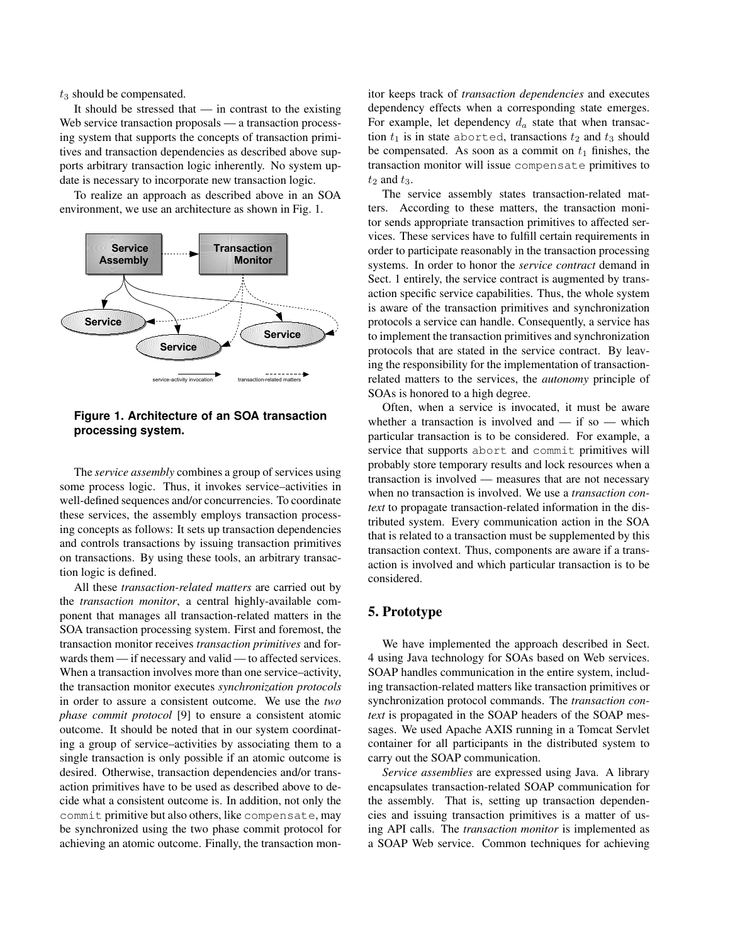$t_3$  should be compensated.

It should be stressed that  $-$  in contrast to the existing Web service transaction proposals — a transaction processing system that supports the concepts of transaction primitives and transaction dependencies as described above supports arbitrary transaction logic inherently. No system update is necessary to incorporate new transaction logic.

To realize an approach as described above in an SOA environment, we use an architecture as shown in Fig. 1.



## **Figure 1. Architecture of an SOA transaction processing system.**

The *service assembly* combines a group of services using some process logic. Thus, it invokes service–activities in well-defined sequences and/or concurrencies. To coordinate these services, the assembly employs transaction processing concepts as follows: It sets up transaction dependencies and controls transactions by issuing transaction primitives on transactions. By using these tools, an arbitrary transaction logic is defined.

All these *transaction-related matters* are carried out by the *transaction monitor*, a central highly-available component that manages all transaction-related matters in the SOA transaction processing system. First and foremost, the transaction monitor receives *transaction primitives* and forwards them — if necessary and valid — to affected services. When a transaction involves more than one service–activity, the transaction monitor executes *synchronization protocols* in order to assure a consistent outcome. We use the *two phase commit protocol* [9] to ensure a consistent atomic outcome. It should be noted that in our system coordinating a group of service–activities by associating them to a single transaction is only possible if an atomic outcome is desired. Otherwise, transaction dependencies and/or transaction primitives have to be used as described above to decide what a consistent outcome is. In addition, not only the commit primitive but also others, like compensate, may be synchronized using the two phase commit protocol for achieving an atomic outcome. Finally, the transaction monitor keeps track of *transaction dependencies* and executes dependency effects when a corresponding state emerges. For example, let dependency  $d_a$  state that when transaction  $t_1$  is in state aborted, transactions  $t_2$  and  $t_3$  should be compensated. As soon as a commit on  $t_1$  finishes, the transaction monitor will issue compensate primitives to  $t_2$  and  $t_3$ .

The service assembly states transaction-related matters. According to these matters, the transaction monitor sends appropriate transaction primitives to affected services. These services have to fulfill certain requirements in order to participate reasonably in the transaction processing systems. In order to honor the *service contract* demand in Sect. 1 entirely, the service contract is augmented by transaction specific service capabilities. Thus, the whole system is aware of the transaction primitives and synchronization protocols a service can handle. Consequently, a service has to implement the transaction primitives and synchronization protocols that are stated in the service contract. By leaving the responsibility for the implementation of transactionrelated matters to the services, the *autonomy* principle of SOAs is honored to a high degree.

Often, when a service is invocated, it must be aware whether a transaction is involved and  $-$  if so  $-$  which particular transaction is to be considered. For example, a service that supports abort and commit primitives will probably store temporary results and lock resources when a transaction is involved — measures that are not necessary when no transaction is involved. We use a *transaction context* to propagate transaction-related information in the distributed system. Every communication action in the SOA that is related to a transaction must be supplemented by this transaction context. Thus, components are aware if a transaction is involved and which particular transaction is to be considered.

# 5. Prototype

We have implemented the approach described in Sect. 4 using Java technology for SOAs based on Web services. SOAP handles communication in the entire system, including transaction-related matters like transaction primitives or synchronization protocol commands. The *transaction context* is propagated in the SOAP headers of the SOAP messages. We used Apache AXIS running in a Tomcat Servlet container for all participants in the distributed system to carry out the SOAP communication.

*Service assemblies* are expressed using Java. A library encapsulates transaction-related SOAP communication for the assembly. That is, setting up transaction dependencies and issuing transaction primitives is a matter of using API calls. The *transaction monitor* is implemented as a SOAP Web service. Common techniques for achieving